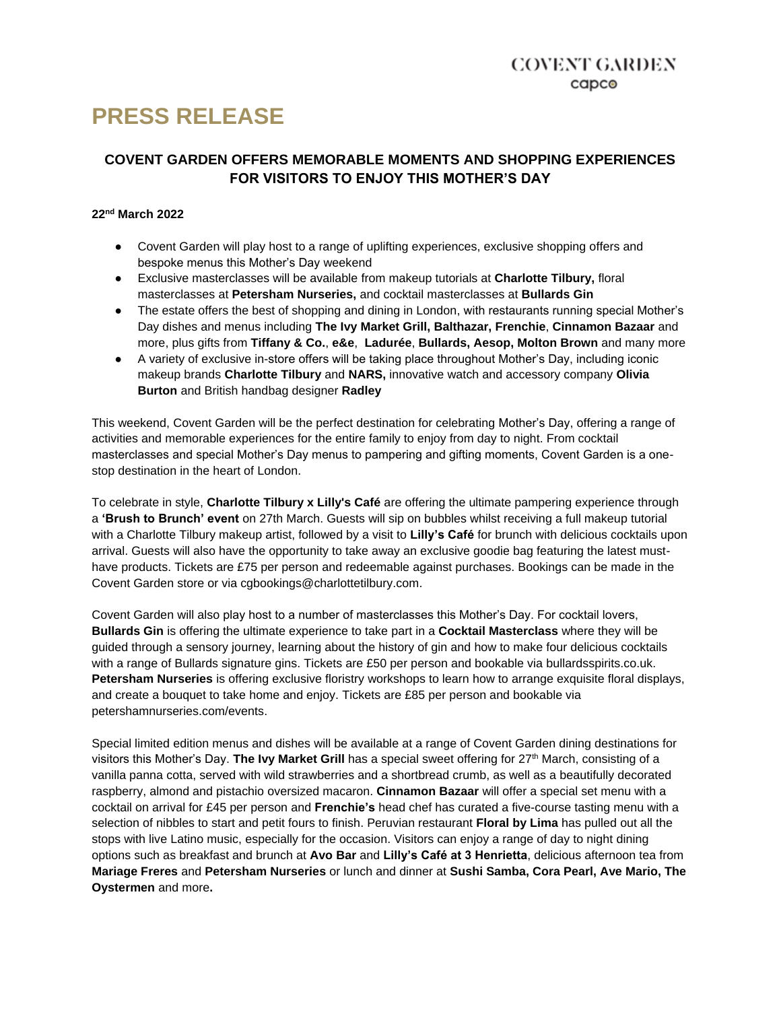# **PRESS RELEASE**

## **COVENT GARDEN OFFERS MEMORABLE MOMENTS AND SHOPPING EXPERIENCES FOR VISITORS TO ENJOY THIS MOTHER'S DAY**

## **22nd March 2022**

- Covent Garden will play host to a range of uplifting experiences, exclusive shopping offers and bespoke menus this Mother's Day weekend
- Exclusive masterclasses will be available from makeup tutorials at **Charlotte Tilbury,** floral masterclasses at **Petersham Nurseries,** and cocktail masterclasses at **Bullards Gin**
- The estate offers the best of shopping and dining in London, with restaurants running special Mother's Day dishes and menus including **The Ivy Market Grill, Balthazar, Frenchie**, **Cinnamon Bazaar** and more, plus gifts from **Tiffany & Co.**, **e&e**, **Ladurée**, **Bullards, Aesop, Molton Brown** and many more
- A variety of exclusive in-store offers will be taking place throughout Mother's Day, including iconic makeup brands **Charlotte Tilbury** and **NARS,** innovative watch and accessory company **Olivia Burton** and British handbag designer **Radley**

This weekend, Covent Garden will be the perfect destination for celebrating Mother's Day, offering a range of activities and memorable experiences for the entire family to enjoy from day to night. From cocktail masterclasses and special Mother's Day menus to pampering and gifting moments, Covent Garden is a onestop destination in the heart of London.

To celebrate in style, **Charlotte Tilbury x Lilly's Café** are offering the ultimate pampering experience through a **'Brush to Brunch' event** on 27th March. Guests will sip on bubbles whilst receiving a full makeup tutorial with a Charlotte Tilbury makeup artist, followed by a visit to **Lilly's Café** for brunch with delicious cocktails upon arrival. Guests will also have the opportunity to take away an exclusive goodie bag featuring the latest musthave products. Tickets are £75 per person and redeemable against purchases. Bookings can be made in the Covent Garden store or via cgbookings@charlottetilbury.com.

Covent Garden will also play host to a number of masterclasses this Mother's Day. For cocktail lovers, **Bullards Gin** is offering the ultimate experience to take part in a **Cocktail Masterclass** where they will be guided through a sensory journey, learning about the history of gin and how to make four delicious cocktails with a range of Bullards signature gins. Tickets are £50 per person and bookable via bullardsspirits.co.uk. **Petersham Nurseries** is offering exclusive floristry workshops to learn how to arrange exquisite floral displays, and create a bouquet to take home and enjoy. Tickets are £85 per person and bookable via petershamnurseries.com/events.

Special limited edition menus and dishes will be available at a range of Covent Garden dining destinations for visitors this Mother's Day. **The Ivy Market Grill** has a special sweet offering for 27<sup>th</sup> March, consisting of a vanilla panna cotta, served with wild strawberries and a shortbread crumb, as well as a beautifully decorated raspberry, almond and pistachio oversized macaron. **Cinnamon Bazaar** will offer a special set menu with a cocktail on arrival for £45 per person and **Frenchie's** head chef has curated a five-course tasting menu with a selection of nibbles to start and petit fours to finish. Peruvian restaurant **Floral by Lima** has pulled out all the stops with live Latino music, especially for the occasion. Visitors can enjoy a range of day to night dining options such as breakfast and brunch at **Avo Bar** and **Lilly's Café at 3 Henrietta**, delicious afternoon tea from **Mariage Freres** and **Petersham Nurseries** or lunch and dinner at **Sushi Samba, Cora Pearl, Ave Mario, The Oystermen** and more**.**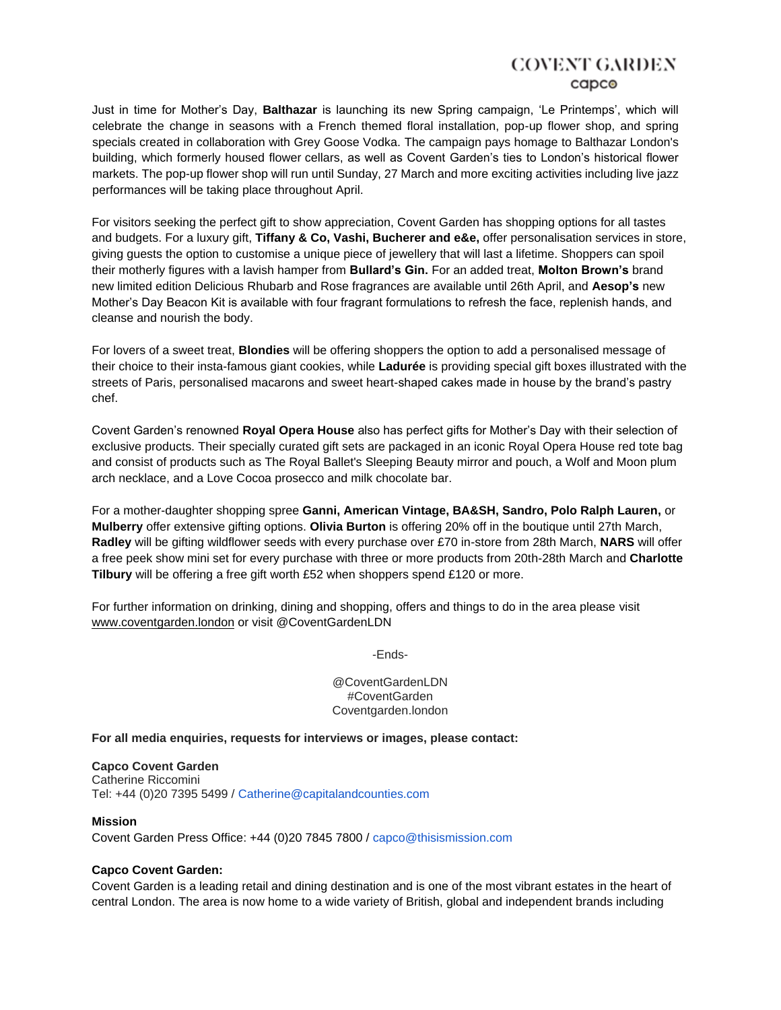# COVENT GARDEN capco

Just in time for Mother's Day, **Balthazar** is launching its new Spring campaign, 'Le Printemps', which will celebrate the change in seasons with a French themed floral installation, pop-up flower shop, and spring specials created in collaboration with Grey Goose Vodka. The campaign pays homage to Balthazar London's building, which formerly housed flower cellars, as well as Covent Garden's ties to London's historical flower markets. The pop-up flower shop will run until Sunday, 27 March and more exciting activities including live jazz performances will be taking place throughout April.

For visitors seeking the perfect gift to show appreciation, Covent Garden has shopping options for all tastes and budgets. For a luxury gift, **Tiffany & Co, Vashi, Bucherer and e&e,** offer personalisation services in store, giving guests the option to customise a unique piece of jewellery that will last a lifetime. Shoppers can spoil their motherly figures with a lavish hamper from **Bullard's Gin.** For an added treat, **Molton Brown's** brand new limited edition Delicious Rhubarb and Rose fragrances are available until 26th April, and **Aesop's** new Mother's Day Beacon Kit is available with four fragrant formulations to refresh the face, replenish hands, and cleanse and nourish the body.

For lovers of a sweet treat, **Blondies** will be offering shoppers the option to add a personalised message of their choice to their insta-famous giant cookies, while **Ladurée** is providing special gift boxes illustrated with the streets of Paris, personalised macarons and sweet heart-shaped cakes made in house by the brand's pastry chef.

Covent Garden's renowned **Royal Opera House** also has perfect gifts for Mother's Day with their selection of exclusive products. Their specially curated gift sets are packaged in an iconic Royal Opera House red tote bag and consist of products such as The Royal Ballet's Sleeping Beauty mirror and pouch, a Wolf and Moon plum arch necklace, and a Love Cocoa prosecco and milk chocolate bar.

For a mother-daughter shopping spree **Ganni, American Vintage, BA&SH, Sandro, Polo Ralph Lauren,** or **Mulberry** offer extensive gifting options. **Olivia Burton** is offering 20% off in the boutique until 27th March, **Radley** will be gifting wildflower seeds with every purchase over £70 in-store from 28th March, **NARS** will offer a free peek show mini set for every purchase with three or more products from 20th-28th March and **Charlotte Tilbury** will be offering a free gift worth £52 when shoppers spend £120 or more.

For further information on drinking, dining and shopping, offers and things to do in the area please visit [www.coventgarden.london](http://www.coventgarden.london/) or visit @CoventGardenLDN

-Ends-

@CoventGardenLDN #CoventGarden Coventgarden.london

**For all media enquiries, requests for interviews or images, please contact:**

#### **Capco Covent Garden**

Catherine Riccomini Tel: +44 (0)20 7395 5499 / Catherine@capitalandcounties.com

#### **Mission**

Covent Garden Press Office: +44 (0)20 7845 7800 / capco@thisismission.com

### **Capco Covent Garden:**

Covent Garden is a leading retail and dining destination and is one of the most vibrant estates in the heart of central London. The area is now home to a wide variety of British, global and independent brands including